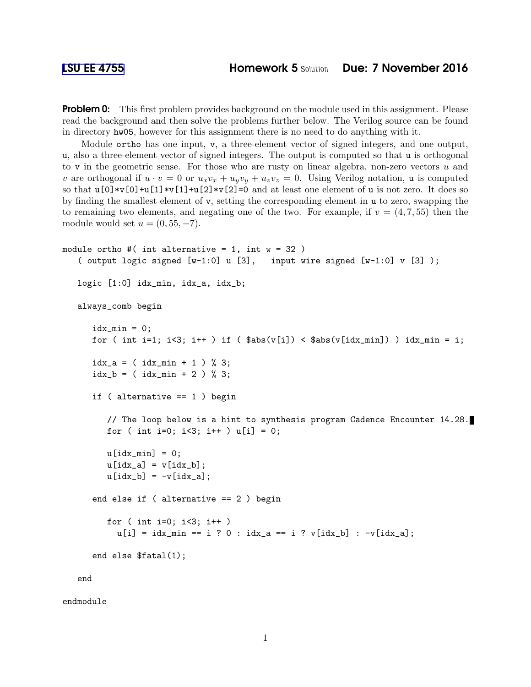**Problem 0:** This first problem provides background on the module used in this assignment. Please read the background and then solve the problems further below. The Verilog source can be found in directory hw05, however for this assignment there is no need to do anything with it.

Module ortho has one input, v, a three-element vector of signed integers, and one output, u, also a three-element vector of signed integers. The output is computed so that u is orthogonal to v in the geometric sense. For those who are rusty on linear algebra, non-zero vectors  $u$  and v are orthogonal if  $u \cdot v = 0$  or  $u_xv_x + u_yv_y + u_zv_z = 0$ . Using Verilog notation, u is computed so that  $u[0]*v[0]+u[1]*v[1]+u[2]*v[2]=0$  and at least one element of u is not zero. It does so by finding the smallest element of v, setting the corresponding element in u to zero, swapping the to remaining two elements, and negating one of the two. For example, if  $v = (4, 7, 55)$  then the module would set  $u = (0, 55, -7)$ .

```
module ortho #( int alternative = 1, int w = 32 )
 ( output logic signed [w-1:0] u [3], input wire signed [w-1:0] v [3]);
 logic [1:0] idx_min, idx_a, idx_b;
 always_comb begin
    idx\_min = 0;for ( int i=1; i<3; i++ ) if ( \text{abs}(v[i]) < \text{Sabs}(v[i\text{max}_\text{min}]) ) idx_min = i;
    idx_a = (idx\_min + 1) % 3;idx_b = (idx\_min + 2) % 3;if ( alternative == 1 ) begin
       // The loop below is a hint to synthesis program Cadence Encounter 14.28.
       for ( int i=0; i<3; i++ ) u[i] = 0;
       u[idx_min] = 0;
       u[idx_a] = v[idx_b];u[idx_b] = -v[idx_a];end else if ( alternative == 2 ) begin
       for ( int i=0; i<3; i++ )
         u[i] = i dx_{min} == i ? 0 : idx_{a} == i ? v[idx_{b}] : -v[idx_{a}];end else $fatal(1);
 end
```
endmodule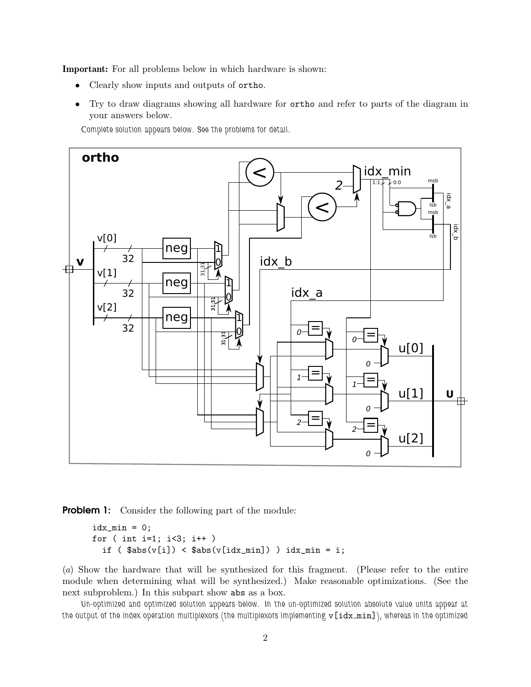Important: For all problems below in which hardware is shown:

- Clearly show inputs and outputs of ortho.
- Try to draw diagrams showing all hardware for ortho and refer to parts of the diagram in your answers below.

Complete solution appears below. See the problems for detail.



**Problem 1:** Consider the following part of the module:

```
idx\_min = 0;for ( int i=1; i<3; i++ )
if (\frac{1}{2}) \leq \frac{1}{2} (v[idx_min]) ) idx_min = i;
```
(*a*) Show the hardware that will be synthesized for this fragment. (Please refer to the entire module when determining what will be synthesized.) Make reasonable optimizations. (See the next subproblem.) In this subpart show abs as a box.

Un-optimized and optimized solution appears below. In the un-optimized solution absolute value units appear at the output of the index operation multiplexors (the multiplexors implementing v[idx\_min]), whereas in the optimized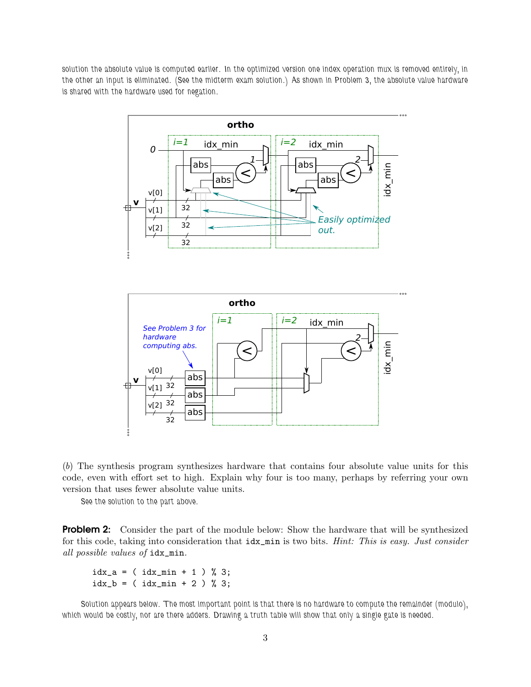solution the absolute value is computed earlier. In the optimized version one index operation mux is removed entirely, in the other an input is eliminated. (See the midterm exam solution.) As shown in Problem 3, the absolute value hardware is shared with the hardware used for negation.





(*b*) The synthesis program synthesizes hardware that contains four absolute value units for this code, even with effort set to high. Explain why four is too many, perhaps by referring your own version that uses fewer absolute value units.

See the solution to the part above.

**Problem 2:** Consider the part of the module below: Show the hardware that will be synthesized for this code, taking into consideration that idx\_min is two bits. *Hint: This is easy. Just consider all possible values of* idx\_min*.*

```
idx_a = (idx_{min} + 1) % 3;idx_b = (idx\_min + 2) % 3;
```
Solution appears below. The most important point is that there is no hardware to compute the remainder (modulo), which would be costly, nor are there adders. Drawing a truth table will show that only a single gate is needed.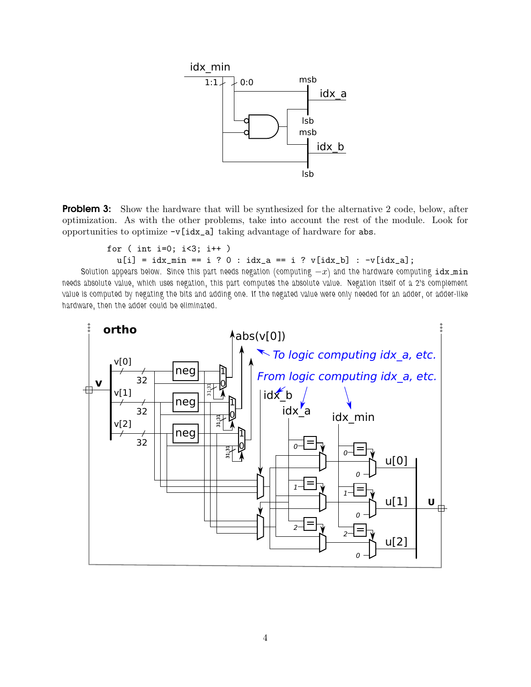

**Problem 3:** Show the hardware that will be synthesized for the alternative 2 code, below, after optimization. As with the other problems, take into account the rest of the module. Look for opportunities to optimize  $-v$  [idx\_a] taking advantage of hardware for abs.

```
for ( int i=0; i<3; i++ )
```
 $u[i] = i dx_{min} == i ? 0 : idx_a == i ? v[idx_b] : -v[idx_a];$ 

Solution appears below. Since this part needs negation (computing  $-x$ ) and the hardware computing idx min needs absolute value, which uses negation, this part computes the absolute value. Negation itself of a 2's complement value is computed by negating the bits and adding one. If the negated value were only needed for an adder, or adder-like hardware, then the adder could be eliminated.